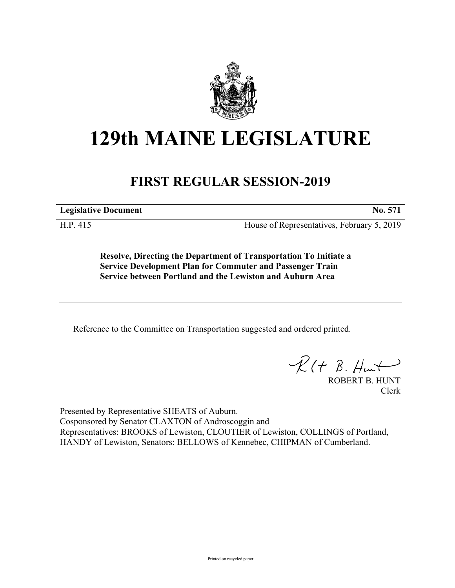

## **129th MAINE LEGISLATURE**

## **FIRST REGULAR SESSION-2019**

**Legislative Document No. 571**

H.P. 415 House of Representatives, February 5, 2019

**Resolve, Directing the Department of Transportation To Initiate a Service Development Plan for Commuter and Passenger Train Service between Portland and the Lewiston and Auburn Area**

Reference to the Committee on Transportation suggested and ordered printed.

 $\mathcal{R}(t \; \mathcal{B}, \#m)$ 

ROBERT B. HUNT Clerk

Presented by Representative SHEATS of Auburn. Cosponsored by Senator CLAXTON of Androscoggin and Representatives: BROOKS of Lewiston, CLOUTIER of Lewiston, COLLINGS of Portland, HANDY of Lewiston, Senators: BELLOWS of Kennebec, CHIPMAN of Cumberland.